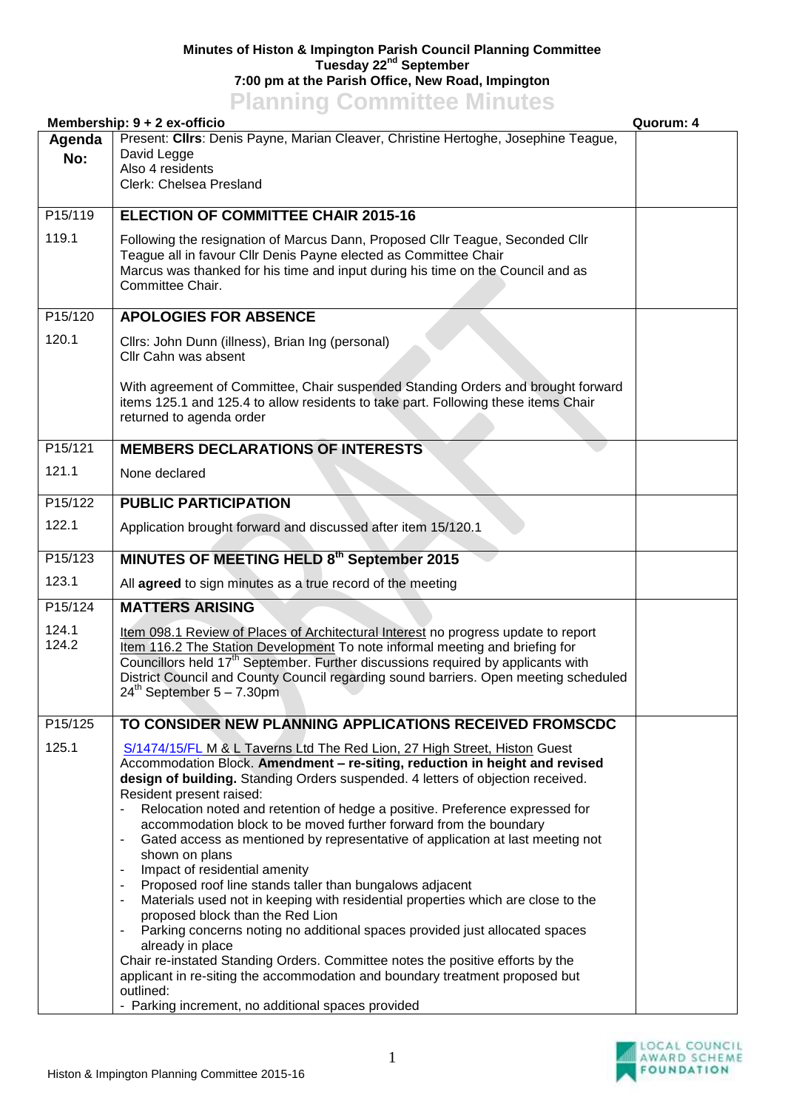## **Minutes of Histon & Impington Parish Council Planning Committee Tuesday 22nd September 7:00 pm at the Parish Office, New Road, Impington Planning Committee Minutes**

|                      | <b>TRUBBING COMMITTEE</b><br>Membership: 9 + 2 ex-officio                                                                                                                                                                                                                                                                                                                                                                                                                                                                                                                                                                                                                                                                                                                                                                                                                                                                                                                                                                                                                                          | Quorum: 4 |
|----------------------|----------------------------------------------------------------------------------------------------------------------------------------------------------------------------------------------------------------------------------------------------------------------------------------------------------------------------------------------------------------------------------------------------------------------------------------------------------------------------------------------------------------------------------------------------------------------------------------------------------------------------------------------------------------------------------------------------------------------------------------------------------------------------------------------------------------------------------------------------------------------------------------------------------------------------------------------------------------------------------------------------------------------------------------------------------------------------------------------------|-----------|
| Agenda<br>No:        | Present: Cllrs: Denis Payne, Marian Cleaver, Christine Hertoghe, Josephine Teague,<br>David Legge<br>Also 4 residents<br>Clerk: Chelsea Presland                                                                                                                                                                                                                                                                                                                                                                                                                                                                                                                                                                                                                                                                                                                                                                                                                                                                                                                                                   |           |
| P15/119              | <b>ELECTION OF COMMITTEE CHAIR 2015-16</b>                                                                                                                                                                                                                                                                                                                                                                                                                                                                                                                                                                                                                                                                                                                                                                                                                                                                                                                                                                                                                                                         |           |
| 119.1                | Following the resignation of Marcus Dann, Proposed Cllr Teague, Seconded Cllr<br>Teague all in favour Cllr Denis Payne elected as Committee Chair<br>Marcus was thanked for his time and input during his time on the Council and as<br>Committee Chair.                                                                                                                                                                                                                                                                                                                                                                                                                                                                                                                                                                                                                                                                                                                                                                                                                                           |           |
| P15/120              | <b>APOLOGIES FOR ABSENCE</b>                                                                                                                                                                                                                                                                                                                                                                                                                                                                                                                                                                                                                                                                                                                                                                                                                                                                                                                                                                                                                                                                       |           |
| 120.1                | Cllrs: John Dunn (illness), Brian Ing (personal)<br>Cllr Cahn was absent                                                                                                                                                                                                                                                                                                                                                                                                                                                                                                                                                                                                                                                                                                                                                                                                                                                                                                                                                                                                                           |           |
|                      | With agreement of Committee, Chair suspended Standing Orders and brought forward<br>items 125.1 and 125.4 to allow residents to take part. Following these items Chair<br>returned to agenda order                                                                                                                                                                                                                                                                                                                                                                                                                                                                                                                                                                                                                                                                                                                                                                                                                                                                                                 |           |
| P <sub>15</sub> /121 | <b>MEMBERS DECLARATIONS OF INTERESTS</b>                                                                                                                                                                                                                                                                                                                                                                                                                                                                                                                                                                                                                                                                                                                                                                                                                                                                                                                                                                                                                                                           |           |
| 121.1                | None declared                                                                                                                                                                                                                                                                                                                                                                                                                                                                                                                                                                                                                                                                                                                                                                                                                                                                                                                                                                                                                                                                                      |           |
| P15/122              | <b>PUBLIC PARTICIPATION</b>                                                                                                                                                                                                                                                                                                                                                                                                                                                                                                                                                                                                                                                                                                                                                                                                                                                                                                                                                                                                                                                                        |           |
| 122.1                | Application brought forward and discussed after item 15/120.1                                                                                                                                                                                                                                                                                                                                                                                                                                                                                                                                                                                                                                                                                                                                                                                                                                                                                                                                                                                                                                      |           |
| P15/123              | MINUTES OF MEETING HELD 8th September 2015                                                                                                                                                                                                                                                                                                                                                                                                                                                                                                                                                                                                                                                                                                                                                                                                                                                                                                                                                                                                                                                         |           |
| 123.1                | All agreed to sign minutes as a true record of the meeting                                                                                                                                                                                                                                                                                                                                                                                                                                                                                                                                                                                                                                                                                                                                                                                                                                                                                                                                                                                                                                         |           |
| P15/124              | <b>MATTERS ARISING</b>                                                                                                                                                                                                                                                                                                                                                                                                                                                                                                                                                                                                                                                                                                                                                                                                                                                                                                                                                                                                                                                                             |           |
| 124.1<br>124.2       | Item 098.1 Review of Places of Architectural Interest no progress update to report<br>Item 116.2 The Station Development To note informal meeting and briefing for<br>Councillors held 17 <sup>th</sup> September. Further discussions required by applicants with<br>District Council and County Council regarding sound barriers. Open meeting scheduled<br>$24^{th}$ September 5 - 7.30pm                                                                                                                                                                                                                                                                                                                                                                                                                                                                                                                                                                                                                                                                                                       |           |
| P15/125              | TO CONSIDER NEW PLANNING APPLICATIONS RECEIVED FROMSCDC                                                                                                                                                                                                                                                                                                                                                                                                                                                                                                                                                                                                                                                                                                                                                                                                                                                                                                                                                                                                                                            |           |
| 125.1                | S/1474/15/FL M & L Taverns Ltd The Red Lion, 27 High Street, Histon Guest<br>Accommodation Block. Amendment - re-siting, reduction in height and revised<br>design of building. Standing Orders suspended. 4 letters of objection received.<br>Resident present raised:<br>Relocation noted and retention of hedge a positive. Preference expressed for<br>accommodation block to be moved further forward from the boundary<br>Gated access as mentioned by representative of application at last meeting not<br>shown on plans<br>Impact of residential amenity<br>Proposed roof line stands taller than bungalows adjacent<br>Materials used not in keeping with residential properties which are close to the<br>proposed block than the Red Lion<br>Parking concerns noting no additional spaces provided just allocated spaces<br>٠<br>already in place<br>Chair re-instated Standing Orders. Committee notes the positive efforts by the<br>applicant in re-siting the accommodation and boundary treatment proposed but<br>outlined:<br>- Parking increment, no additional spaces provided |           |

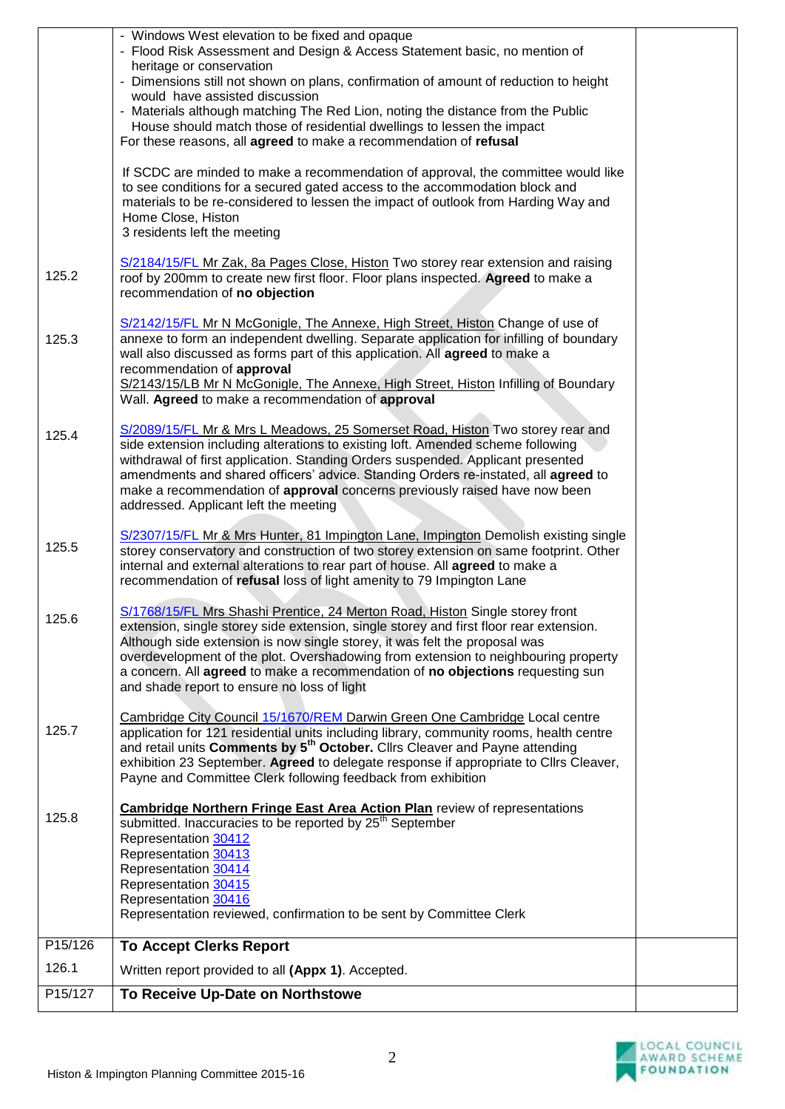|         | - Windows West elevation to be fixed and opaque<br>- Flood Risk Assessment and Design & Access Statement basic, no mention of<br>heritage or conservation<br>- Dimensions still not shown on plans, confirmation of amount of reduction to height<br>would have assisted discussion<br>- Materials although matching The Red Lion, noting the distance from the Public<br>House should match those of residential dwellings to lessen the impact<br>For these reasons, all agreed to make a recommendation of refusal<br>If SCDC are minded to make a recommendation of approval, the committee would like<br>to see conditions for a secured gated access to the accommodation block and<br>materials to be re-considered to lessen the impact of outlook from Harding Way and<br>Home Close, Histon<br>3 residents left the meeting |  |
|---------|---------------------------------------------------------------------------------------------------------------------------------------------------------------------------------------------------------------------------------------------------------------------------------------------------------------------------------------------------------------------------------------------------------------------------------------------------------------------------------------------------------------------------------------------------------------------------------------------------------------------------------------------------------------------------------------------------------------------------------------------------------------------------------------------------------------------------------------|--|
| 125.2   | S/2184/15/FL Mr Zak, 8a Pages Close, Histon Two storey rear extension and raising<br>roof by 200mm to create new first floor. Floor plans inspected. Agreed to make a<br>recommendation of no objection                                                                                                                                                                                                                                                                                                                                                                                                                                                                                                                                                                                                                               |  |
| 125.3   | S/2142/15/FL Mr N McGonigle, The Annexe, High Street, Histon Change of use of<br>annexe to form an independent dwelling. Separate application for infilling of boundary<br>wall also discussed as forms part of this application. All agreed to make a<br>recommendation of approval<br>S/2143/15/LB Mr N McGonigle, The Annexe, High Street, Histon Infilling of Boundary<br>Wall. Agreed to make a recommendation of approval                                                                                                                                                                                                                                                                                                                                                                                                       |  |
| 125.4   | S/2089/15/FL Mr & Mrs L Meadows, 25 Somerset Road, Histon Two storey rear and<br>side extension including alterations to existing loft. Amended scheme following<br>withdrawal of first application. Standing Orders suspended. Applicant presented<br>amendments and shared officers' advice. Standing Orders re-instated, all agreed to<br>make a recommendation of approval concerns previously raised have now been<br>addressed. Applicant left the meeting                                                                                                                                                                                                                                                                                                                                                                      |  |
| 125.5   | S/2307/15/FL Mr & Mrs Hunter, 81 Impington Lane, Impington Demolish existing single<br>storey conservatory and construction of two storey extension on same footprint. Other<br>internal and external alterations to rear part of house. All agreed to make a<br>recommendation of refusal loss of light amenity to 79 Impington Lane                                                                                                                                                                                                                                                                                                                                                                                                                                                                                                 |  |
| 125.6   | S/1768/15/FL Mrs Shashi Prentice, 24 Merton Road, Histon Single storey front<br>extension, single storey side extension, single storey and first floor rear extension.<br>Although side extension is now single storey, it was felt the proposal was<br>overdevelopment of the plot. Overshadowing from extension to neighbouring property<br>a concern. All agreed to make a recommendation of no objections requesting sun<br>and shade report to ensure no loss of light                                                                                                                                                                                                                                                                                                                                                           |  |
| 125.7   | Cambridge City Council 15/1670/REM Darwin Green One Cambridge Local centre<br>application for 121 residential units including library, community rooms, health centre<br>and retail units Comments by 5 <sup>th</sup> October. Clirs Cleaver and Payne attending<br>exhibition 23 September. Agreed to delegate response if appropriate to Cllrs Cleaver,<br>Payne and Committee Clerk following feedback from exhibition                                                                                                                                                                                                                                                                                                                                                                                                             |  |
| 125.8   | <b>Cambridge Northern Fringe East Area Action Plan</b> review of representations<br>submitted. Inaccuracies to be reported by 25 <sup>th</sup> September<br>Representation 30412<br>Representation 30413<br>Representation 30414<br>Representation 30415<br>Representation 30416<br>Representation reviewed, confirmation to be sent by Committee Clerk                                                                                                                                                                                                                                                                                                                                                                                                                                                                               |  |
| P15/126 | <b>To Accept Clerks Report</b>                                                                                                                                                                                                                                                                                                                                                                                                                                                                                                                                                                                                                                                                                                                                                                                                        |  |
| 126.1   | Written report provided to all (Appx 1). Accepted.                                                                                                                                                                                                                                                                                                                                                                                                                                                                                                                                                                                                                                                                                                                                                                                    |  |
| P15/127 | To Receive Up-Date on Northstowe                                                                                                                                                                                                                                                                                                                                                                                                                                                                                                                                                                                                                                                                                                                                                                                                      |  |